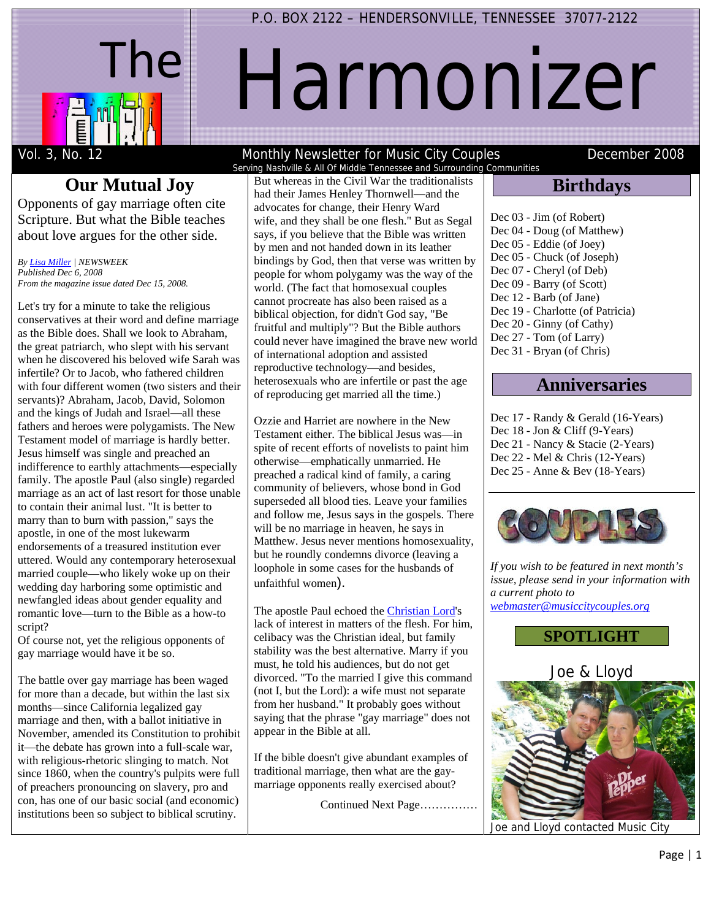

# Harmonizer

# **Our Mutual Joy**

Opponents of gay marriage often cite Scripture. But what the Bible teaches about love argues for the other side.

*By Lisa Miller | NEWSWEEK Published Dec 6, 2008 From the magazine issue dated Dec 15, 2008.* 

Let's try for a minute to take the religious conservatives at their word and define marriage as the Bible does. Shall we look to Abraham, the great patriarch, who slept with his servant when he discovered his beloved wife Sarah was infertile? Or to Jacob, who fathered children with four different women (two sisters and their servants)? Abraham, Jacob, David, Solomon and the kings of Judah and Israel—all these fathers and heroes were polygamists. The New Testament model of marriage is hardly better. Jesus himself was single and preached an indifference to earthly attachments—especially family. The apostle Paul (also single) regarded marriage as an act of last resort for those unable to contain their animal lust. "It is better to marry than to burn with passion," says the apostle, in one of the most lukewarm endorsements of a treasured institution ever uttered. Would any contemporary heterosexual married couple—who likely woke up on their wedding day harboring some optimistic and newfangled ideas about gender equality and romantic love—turn to the Bible as a how-to script?

Of course not, yet the religious opponents of gay marriage would have it be so.

The battle over gay marriage has been waged for more than a decade, but within the last six months—since California legalized gay marriage and then, with a ballot initiative in November, amended its Constitution to prohibit it—the debate has grown into a full-scale war, with religious-rhetoric slinging to match. Not since 1860, when the country's pulpits were full of preachers pronouncing on slavery, pro and con, has one of our basic social (and economic) institutions been so subject to biblical scrutiny.

#### Vol. 3, No. 12 Monthly Newsletter for Music City Couples December 2008 Serving Nashville & All Of Middle Tennessee and Surrounding Communities

But whereas in the Civil War the traditionalists had their James Henley Thornwell—and the advocates for change, their Henry Ward wife, and they shall be one flesh." But as Segal says, if you believe that the Bible was written by men and not handed down in its leather bindings by God, then that verse was written by people for whom polygamy was the way of the world. (The fact that homosexual couples cannot procreate has also been raised as a biblical objection, for didn't God say, "Be fruitful and multiply"? But the Bible authors could never have imagined the brave new world

of international adoption and assisted reproductive technology—and besides, heterosexuals who are infertile or past the age of reproducing get married all the time.)

Ozzie and Harriet are nowhere in the New Testament either. The biblical Jesus was—in spite of recent efforts of novelists to paint him otherwise—emphatically unmarried. He preached a radical kind of family, a caring community of believers, whose bond in God superseded all blood ties. Leave your families and follow me, Jesus says in the gospels. There will be no marriage in heaven, he says in Matthew. Jesus never mentions homosexuality, but he roundly condemns divorce (leaving a loophole in some cases for the husbands of

The apostle Paul echoed the Christian Lord's lack of interest in matters of the flesh. For him, celibacy was the Christian ideal, but family stability was the best alternative. Marry if you must, he told his audiences, but do not get divorced. "To the married I give this command (not I, but the Lord): a wife must not separate from her husband." It probably goes without saying that the phrase "gay marriage" does not

If the bible doesn't give abundant examples of traditional marriage, then what are the gaymarriage opponents really exercised about?

Continued Next Page……………

unfaithful women).

appear in the Bible at all.

## **Birthdays**

| Dec 03 - Jim (of Robert)         |
|----------------------------------|
| Dec 04 - Doug (of Matthew)       |
| Dec 05 - Eddie (of Joey)         |
| Dec 05 - Chuck (of Joseph)       |
| Dec 07 - Cheryl (of Deb)         |
| Dec 09 - Barry (of Scott)        |
| Dec 12 - Barb (of Jane)          |
| Dec 19 - Charlotte (of Patricia) |
| Dec 20 - Ginny (of Cathy)        |
| Dec 27 - Tom (of Larry)          |
| Dec 31 - Bryan (of Chris)        |
|                                  |

# **Anniversaries**

Dec 17 - Randy & Gerald (16-Years) Dec 18 - Jon & Cliff (9-Years) Dec 21 - Nancy & Stacie (2-Years) Dec 22 - Mel & Chris (12-Years) Dec 25 - Anne & Bev (18-Years)



*If you wish to be featured in next month's issue, please send in your information with a current photo to webmaster@musiccitycouples.org*

**SPOTLIGHT** 

Joe & Lloyd

Joe and Lloyd contacted Music City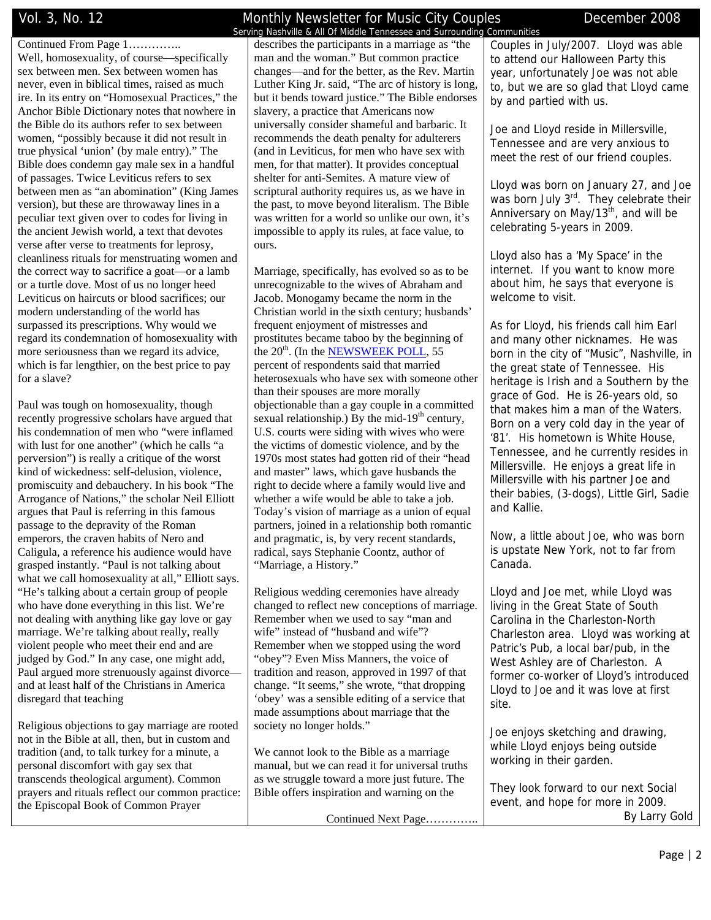Continued From Page 1………….. Well, homosexuality, of course—specifically sex between men. Sex between women has never, even in biblical times, raised as much ire. In its entry on "Homosexual Practices," the Anchor Bible Dictionary notes that nowhere in the Bible do its authors refer to sex between women, "possibly because it did not result in true physical 'union' (by male entry)." The Bible does condemn gay male sex in a handful of passages. Twice Leviticus refers to sex between men as "an abomination" (King James version), but these are throwaway lines in a peculiar text given over to codes for living in the ancient Jewish world, a text that devotes verse after verse to treatments for leprosy, cleanliness rituals for menstruating women and the correct way to sacrifice a goat—or a lamb or a turtle dove. Most of us no longer heed Leviticus on haircuts or blood sacrifices; our modern understanding of the world has surpassed its prescriptions. Why would we regard its condemnation of homosexuality with more seriousness than we regard its advice, which is far lengthier, on the best price to pay for a slave?

Paul was tough on homosexuality, though recently progressive scholars have argued that his condemnation of men who "were inflamed with lust for one another" (which he calls "a perversion") is really a critique of the worst kind of wickedness: self-delusion, violence, promiscuity and debauchery. In his book "The Arrogance of Nations," the scholar Neil Elliott argues that Paul is referring in this famous passage to the depravity of the Roman emperors, the craven habits of Nero and Caligula, a reference his audience would have grasped instantly. "Paul is not talking about what we call homosexuality at all," Elliott says. "He's talking about a certain group of people who have done everything in this list. We're not dealing with anything like gay love or gay marriage. We're talking about really, really violent people who meet their end and are judged by God." In any case, one might add, Paul argued more strenuously against divorce and at least half of the Christians in America disregard that teaching

Religious objections to gay marriage are rooted not in the Bible at all, then, but in custom and tradition (and, to talk turkey for a minute, a personal discomfort with gay sex that transcends theological argument). Common prayers and rituals reflect our common practice: the Episcopal Book of Common Prayer

## Vol. 3, No. 12 Monthly Newsletter for Music City Couples December 2008

 Serving Nashville & All Of Middle Tennessee and Surrounding Communities describes the participants in a marriage as "the man and the woman." But common practice changes—and for the better, as the Rev. Martin Luther King Jr. said, "The arc of history is long, but it bends toward justice." The Bible endorses slavery, a practice that Americans now universally consider shameful and barbaric. It recommends the death penalty for adulterers (and in Leviticus, for men who have sex with men, for that matter). It provides conceptual shelter for anti-Semites. A mature view of scriptural authority requires us, as we have in the past, to move beyond literalism. The Bible was written for a world so unlike our own, it's impossible to apply its rules, at face value, to ours.

Marriage, specifically, has evolved so as to be unrecognizable to the wives of Abraham and Jacob. Monogamy became the norm in the Christian world in the sixth century; husbands' frequent enjoyment of mistresses and prostitutes became taboo by the beginning of the 20<sup>th</sup>. (In the NEWSWEEK POLL, 55 percent of respondents said that married heterosexuals who have sex with someone other than their spouses are more morally objectionable than a gay couple in a committed sexual relationship.) By the mid-19<sup>th</sup> century, U.S. courts were siding with wives who were the victims of domestic violence, and by the 1970s most states had gotten rid of their "head and master" laws, which gave husbands the right to decide where a family would live and whether a wife would be able to take a job. Today's vision of marriage as a union of equal partners, joined in a relationship both romantic and pragmatic, is, by very recent standards, radical, says Stephanie Coontz, author of "Marriage, a History."

Religious wedding ceremonies have already changed to reflect new conceptions of marriage. Remember when we used to say "man and wife" instead of "husband and wife"? Remember when we stopped using the word "obey"? Even Miss Manners, the voice of tradition and reason, approved in 1997 of that change. "It seems," she wrote, "that dropping 'obey' was a sensible editing of a service that made assumptions about marriage that the society no longer holds."

We cannot look to the Bible as a marriage manual, but we can read it for universal truths as we struggle toward a more just future. The Bible offers inspiration and warning on the

Continued Next Page…………..

Couples in July/2007. Lloyd was able to attend our Halloween Party this year, unfortunately Joe was not able to, but we are so glad that Lloyd came by and partied with us.

Joe and Lloyd reside in Millersville, Tennessee and are very anxious to meet the rest of our friend couples.

Lloyd was born on January 27, and Joe was born July 3<sup>rd</sup>. They celebrate their Anniversary on May/13 $^{th}$ , and will be celebrating 5-years in 2009.

Lloyd also has a 'My Space' in the internet. If you want to know more about him, he says that everyone is welcome to visit.

As for Lloyd, his friends call him Earl and many other nicknames. He was born in the city of "Music", Nashville, in the great state of Tennessee. His heritage is Irish and a Southern by the grace of God. He is 26-years old, so that makes him a man of the Waters. Born on a very cold day in the year of '81'. His hometown is White House, Tennessee, and he currently resides in Millersville. He enjoys a great life in Millersville with his partner Joe and their babies, (3-dogs), Little Girl, Sadie and Kallie.

Now, a little about Joe, who was born is upstate New York, not to far from Canada.

Lloyd and Joe met, while Lloyd was living in the Great State of South Carolina in the Charleston-North Charleston area. Lloyd was working at Patric's Pub, a local bar/pub, in the West Ashley are of Charleston. A former co-worker of Lloyd's introduced Lloyd to Joe and it was love at first site.

Joe enjoys sketching and drawing, while Lloyd enjoys being outside working in their garden.

They look forward to our next Social event, and hope for more in 2009. By Larry Gold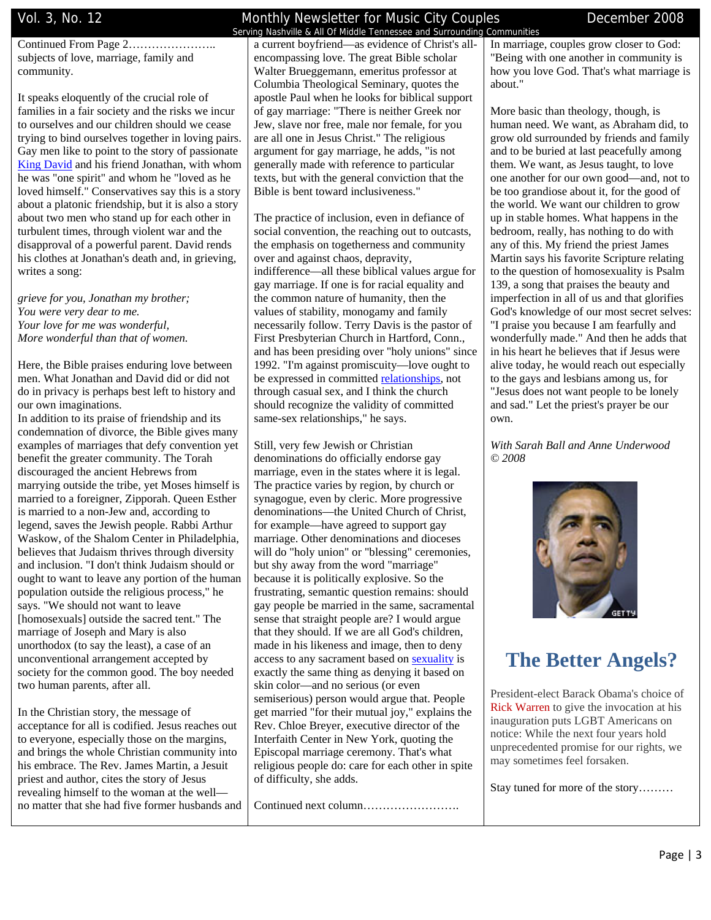Continued From Page 2………………….. subjects of love, marriage, family and community.

It speaks eloquently of the crucial role of families in a fair society and the risks we incur to ourselves and our children should we cease trying to bind ourselves together in loving pairs. Gay men like to point to the story of passionate King David and his friend Jonathan, with whom he was "one spirit" and whom he "loved as he loved himself." Conservatives say this is a story about a platonic friendship, but it is also a story about two men who stand up for each other in turbulent times, through violent war and the disapproval of a powerful parent. David rends his clothes at Jonathan's death and, in grieving, writes a song:

*grieve for you, Jonathan my brother; You were very dear to me. Your love for me was wonderful, More wonderful than that of women.*

Here, the Bible praises enduring love between men. What Jonathan and David did or did not do in privacy is perhaps best left to history and our own imaginations.

In addition to its praise of friendship and its condemnation of divorce, the Bible gives many examples of marriages that defy convention yet benefit the greater community. The Torah discouraged the ancient Hebrews from marrying outside the tribe, yet Moses himself is married to a foreigner, Zipporah. Queen Esther is married to a non-Jew and, according to legend, saves the Jewish people. Rabbi Arthur Waskow, of the Shalom Center in Philadelphia, believes that Judaism thrives through diversity and inclusion. "I don't think Judaism should or ought to want to leave any portion of the human population outside the religious process," he says. "We should not want to leave [homosexuals] outside the sacred tent." The marriage of Joseph and Mary is also unorthodox (to say the least), a case of an unconventional arrangement accepted by society for the common good. The boy needed two human parents, after all.

In the Christian story, the message of acceptance for all is codified. Jesus reaches out to everyone, especially those on the margins, and brings the whole Christian community into his embrace. The Rev. James Martin, a Jesuit priest and author, cites the story of Jesus revealing himself to the woman at the well no matter that she had five former husbands and

## Vol. 3, No. 12 **Monthly Newsletter for Music City Couples Communication** December 2008

 Serving Nashville & All Of Middle Tennessee and Surrounding Communities a current boyfriend—as evidence of Christ's allencompassing love. The great Bible scholar Walter Brueggemann, emeritus professor at Columbia Theological Seminary, quotes the apostle Paul when he looks for biblical support of gay marriage: "There is neither Greek nor Jew, slave nor free, male nor female, for you are all one in Jesus Christ." The religious argument for gay marriage, he adds, "is not generally made with reference to particular texts, but with the general conviction that the Bible is bent toward inclusiveness."

The practice of inclusion, even in defiance of social convention, the reaching out to outcasts, the emphasis on togetherness and community over and against chaos, depravity, indifference—all these biblical values argue for gay marriage. If one is for racial equality and the common nature of humanity, then the values of stability, monogamy and family necessarily follow. Terry Davis is the pastor of First Presbyterian Church in Hartford, Conn., and has been presiding over "holy unions" since 1992. "I'm against promiscuity—love ought to be expressed in committed relationships, not through casual sex, and I think the church should recognize the validity of committed same-sex relationships," he says.

Still, very few Jewish or Christian denominations do officially endorse gay marriage, even in the states where it is legal. The practice varies by region, by church or synagogue, even by cleric. More progressive denominations—the United Church of Christ, for example—have agreed to support gay marriage. Other denominations and dioceses will do "holy union" or "blessing" ceremonies, but shy away from the word "marriage" because it is politically explosive. So the frustrating, semantic question remains: should gay people be married in the same, sacramental sense that straight people are? I would argue that they should. If we are all God's children, made in his likeness and image, then to deny access to any sacrament based on sexuality is exactly the same thing as denying it based on skin color—and no serious (or even semiserious) person would argue that. People get married "for their mutual joy," explains the Rev. Chloe Breyer, executive director of the Interfaith Center in New York, quoting the Episcopal marriage ceremony. That's what religious people do: care for each other in spite of difficulty, she adds.

Continued next column…………………….

In marriage, couples grow closer to God: "Being with one another in community is how you love God. That's what marriage is about."

More basic than theology, though, is human need. We want, as Abraham did, to grow old surrounded by friends and family and to be buried at last peacefully among them. We want, as Jesus taught, to love one another for our own good—and, not to be too grandiose about it, for the good of the world. We want our children to grow up in stable homes. What happens in the bedroom, really, has nothing to do with any of this. My friend the priest James Martin says his favorite Scripture relating to the question of homosexuality is Psalm 139, a song that praises the beauty and imperfection in all of us and that glorifies God's knowledge of our most secret selves: "I praise you because I am fearfully and wonderfully made." And then he adds that in his heart he believes that if Jesus were alive today, he would reach out especially to the gays and lesbians among us, for "Jesus does not want people to be lonely and sad." Let the priest's prayer be our own.

*With Sarah Ball and Anne Underwood © 2008*



# **The Better Angels?**

President-elect Barack Obama's choice of Rick Warren to give the invocation at his inauguration puts LGBT Americans on notice: While the next four years hold unprecedented promise for our rights, we may sometimes feel forsaken.

Stay tuned for more of the story………